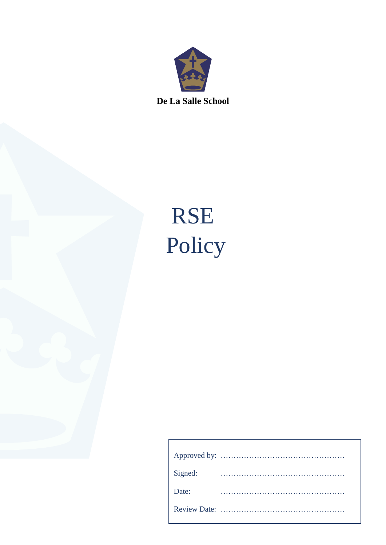

**De La Salle School**

# RSE Policy

| Signed: |  |  |  |  |  |  |  |  |  |  |  |  |  |  |  |  |  |
|---------|--|--|--|--|--|--|--|--|--|--|--|--|--|--|--|--|--|
| Date:   |  |  |  |  |  |  |  |  |  |  |  |  |  |  |  |  |  |
|         |  |  |  |  |  |  |  |  |  |  |  |  |  |  |  |  |  |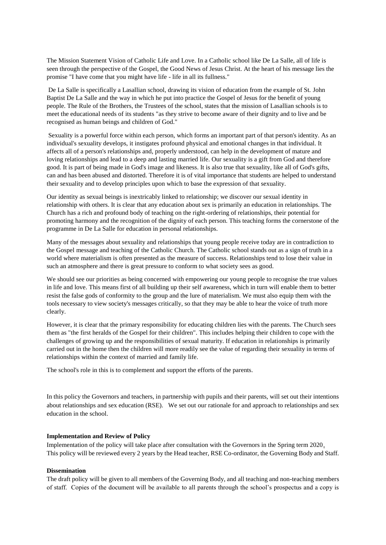The Mission Statement Vision of Catholic Life and Love. In a Catholic school like De La Salle, all of life is seen through the perspective of the Gospel, the Good News of Jesus Christ. At the heart of his message lies the promise "I have come that you might have life - life in all its fullness."

De La Salle is specifically a Lasallian school, drawing its vision of education from the example of St. John Baptist De La Salle and the way in which he put into practice the Gospel of Jesus for the benefit of young people. The Rule of the Brothers, the Trustees of the school, states that the mission of Lasallian schools is to meet the educational needs of its students "as they strive to become aware of their dignity and to live and be recognised as human beings and children of God."

Sexuality is a powerful force within each person, which forms an important part of that person's identity. As an individual's sexuality develops, it instigates profound physical and emotional changes in that individual. It affects all of a person's relationships and, properly understood, can help in the development of mature and loving relationships and lead to a deep and lasting married life. Our sexuality is a gift from God and therefore good. It is part of being made in God's image and likeness. It is also true that sexuality, like all of God's gifts, can and has been abused and distorted. Therefore it is of vital importance that students are helped to understand their sexuality and to develop principles upon which to base the expression of that sexuality.

Our identity as sexual beings is inextricably linked to relationship; we discover our sexual identity in relationship with others. It is clear that any education about sex is primarily an education in relationships. The Church has a rich and profound body of teaching on the right-ordering of relationships, their potential for promoting harmony and the recognition of the dignity of each person. This teaching forms the cornerstone of the programme in De La Salle for education in personal relationships.

Many of the messages about sexuality and relationships that young people receive today are in contradiction to the Gospel message and teaching of the Catholic Church. The Catholic school stands out as a sign of truth in a world where materialism is often presented as the measure of success. Relationships tend to lose their value in such an atmosphere and there is great pressure to conform to what society sees as good.

We should see our priorities as being concerned with empowering our young people to recognise the true values in life and love. This means first of all building up their self awareness, which in turn will enable them to better resist the false gods of conformity to the group and the lure of materialism. We must also equip them with the tools necessary to view society's messages critically, so that they may be able to hear the voice of truth more clearly.

However, it is clear that the primary responsibility for educating children lies with the parents. The Church sees them as "the first heralds of the Gospel for their children". This includes helping their children to cope with the challenges of growing up and the responsibilities of sexual maturity. If education in relationships is primarily carried out in the home then the children will more readily see the value of regarding their sexuality in terms of relationships within the context of married and family life.

The school's role in this is to complement and support the efforts of the parents.

In this policy the Governors and teachers, in partnership with pupils and their parents, will set out their intentions about relationships and sex education (RSE). We set out our rationale for and approach to relationships and sex education in the school.

#### **Implementation and Review of Policy**

Implementation of the policy will take place after consultation with the Governors in the Spring term 2020. This policy will be reviewed every 2 years by the Head teacher, RSE Co-ordinator, the Governing Body and Staff.

### **Dissemination**

The draft policy will be given to all members of the Governing Body, and all teaching and non-teaching members of staff. Copies of the document will be available to all parents through the school's prospectus and a copy is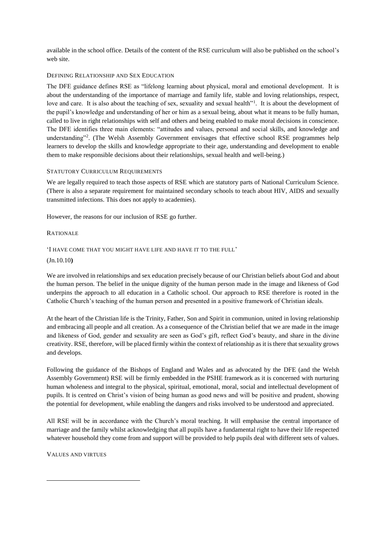available in the school office. Details of the content of the RSE curriculum will also be published on the school's web site.

## DEFINING RELATIONSHIP AND SEX EDUCATION

The DFE guidance defines RSE as "lifelong learning about physical, moral and emotional development. It is about the understanding of the importance of marriage and family life, stable and loving relationships, respect, love and care. It is also about the teaching of sex, sexuality and sexual health"<sup>1</sup>. It is about the development of the pupil's knowledge and understanding of her or him as a sexual being, about what it means to be fully human, called to live in right relationships with self and others and being enabled to make moral decisions in conscience. The DFE identifies three main elements: "attitudes and values, personal and social skills, and knowledge and understanding"<sup>2</sup>. (The Welsh Assembly Government envisages that effective school RSE programmes help learners to develop the skills and knowledge appropriate to their age, understanding and development to enable them to make responsible decisions about their relationships, sexual health and well-being.)

## STATUTORY CURRICULUM REQUIREMENTS

We are legally required to teach those aspects of RSE which are statutory parts of National Curriculum Science. (There is also a separate requirement for maintained secondary schools to teach about HIV, AIDS and sexually transmitted infections. This does not apply to academies).

However, the reasons for our inclusion of RSE go further.

## RATIONALE

## 'I HAVE COME THAT YOU MIGHT HAVE LIFE AND HAVE IT TO THE FULL'

## (Jn.10.10**)**

We are involved in relationships and sex education precisely because of our Christian beliefs about God and about the human person. The belief in the unique dignity of the human person made in the image and likeness of God underpins the approach to all education in a Catholic school. Our approach to RSE therefore is rooted in the Catholic Church's teaching of the human person and presented in a positive framework of Christian ideals.

At the heart of the Christian life is the Trinity, Father, Son and Spirit in communion, united in loving relationship and embracing all people and all creation. As a consequence of the Christian belief that we are made in the image and likeness of God, gender and sexuality are seen as God's gift, reflect God's beauty, and share in the divine creativity. RSE, therefore, will be placed firmly within the context of relationship as it is there that sexuality grows and develops.

Following the guidance of the Bishops of England and Wales and as advocated by the DFE (and the Welsh Assembly Government) RSE will be firmly embedded in the PSHE framework as it is concerned with nurturing human wholeness and integral to the physical, spiritual, emotional, moral, social and intellectual development of pupils. It is centred on Christ's vision of being human as good news and will be positive and prudent, showing the potential for development, while enabling the dangers and risks involved to be understood and appreciated.

All RSE will be in accordance with the Church's moral teaching. It will emphasise the central importance of marriage and the family whilst acknowledging that all pupils have a fundamental right to have their life respected whatever household they come from and support will be provided to help pupils deal with different sets of values.

VALUES AND VIRTUES

1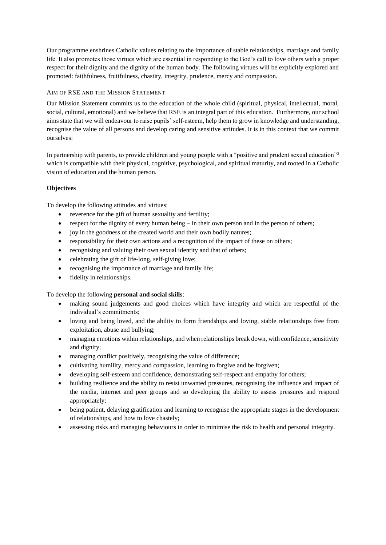Our programme enshrines Catholic values relating to the importance of stable relationships, marriage and family life. It also promotes those virtues which are essential in responding to the God's call to love others with a proper respect for their dignity and the dignity of the human body. The following virtues will be explicitly explored and promoted: faithfulness, fruitfulness, chastity, integrity, prudence, mercy and compassion.

# AIM OF RSE AND THE MISSION STATEMENT

Our Mission Statement commits us to the education of the whole child (spiritual, physical, intellectual, moral, social, cultural, emotional) and we believe that RSE is an integral part of this education. Furthermore, our school aims state that we will endeavour to raise pupils' self-esteem, help them to grow in knowledge and understanding, recognise the value of all persons and develop caring and sensitive attitudes. It is in this context that we commit ourselves:

In partnership with parents, to provide children and young people with a "positive and prudent sexual education"<sup>3</sup> which is compatible with their physical, cognitive, psychological, and spiritual maturity, and rooted in a Catholic vision of education and the human person.

# **Objectives**

<u>.</u>

To develop the following attitudes and virtues:

- reverence for the gift of human sexuality and fertility;
- $\bullet$  respect for the dignity of every human being  $-$  in their own person and in the person of others;
- joy in the goodness of the created world and their own bodily natures;
- responsibility for their own actions and a recognition of the impact of these on others;
- recognising and valuing their own sexual identity and that of others;
- celebrating the gift of life-long, self-giving love;
- recognising the importance of marriage and family life;
- fidelity in relationships.

To develop the following **personal and social skills**:

- making sound judgements and good choices which have integrity and which are respectful of the individual's commitments;
- loving and being loved, and the ability to form friendships and loving, stable relationships free from exploitation, abuse and bullying;
- managing emotions within relationships, and when relationships break down, with confidence, sensitivity and dignity;
- managing conflict positively, recognising the value of difference;
- cultivating humility, mercy and compassion, learning to forgive and be forgiven;
- developing self-esteem and confidence, demonstrating self-respect and empathy for others;
- building resilience and the ability to resist unwanted pressures, recognising the influence and impact of the media, internet and peer groups and so developing the ability to assess pressures and respond appropriately;
- being patient, delaying gratification and learning to recognise the appropriate stages in the development of relationships, and how to love chastely;
- assessing risks and managing behaviours in order to minimise the risk to health and personal integrity.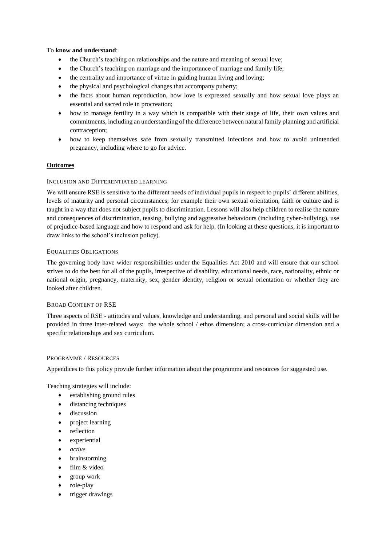## To **know and understand**:

- the Church's teaching on relationships and the nature and meaning of sexual love;
- the Church's teaching on marriage and the importance of marriage and family life;
- the centrality and importance of virtue in guiding human living and loving;
- the physical and psychological changes that accompany puberty;
- the facts about human reproduction, how love is expressed sexually and how sexual love plays an essential and sacred role in procreation;
- how to manage fertility in a way which is compatible with their stage of life, their own values and commitments, including an understanding of the difference between natural family planning and artificial contraception;
- how to keep themselves safe from sexually transmitted infections and how to avoid unintended pregnancy, including where to go for advice.

# **Outcomes**

## INCLUSION AND DIFFERENTIATED LEARNING

We will ensure RSE is sensitive to the different needs of individual pupils in respect to pupils' different abilities, levels of maturity and personal circumstances; for example their own sexual orientation, faith or culture and is taught in a way that does not subject pupils to discrimination. Lessons will also help children to realise the nature and consequences of discrimination, teasing, bullying and aggressive behaviours (including cyber-bullying), use of prejudice-based language and how to respond and ask for help. (In looking at these questions, it is important to draw links to the school's inclusion policy).

## EQUALITIES OBLIGATIONS

The governing body have wider responsibilities under the Equalities Act 2010 and will ensure that our school strives to do the best for all of the pupils, irrespective of disability, educational needs, race, nationality, ethnic or national origin, pregnancy, maternity, sex, gender identity, religion or sexual orientation or whether they are looked after children.

## BROAD CONTENT OF RSE

Three aspects of RSE - attitudes and values, knowledge and understanding, and personal and social skills will be provided in three inter-related ways: the whole school / ethos dimension; a cross-curricular dimension and a specific relationships and sex curriculum.

## PROGRAMME / RESOURCES

Appendices to this policy provide further information about the programme and resources for suggested use.

Teaching strategies will include:

- establishing ground rules
- distancing techniques
- **·** discussion
- project learning
- reflection
- experiential
- *active*
- brainstorming
- film & video
- group work
- role-play
- trigger drawings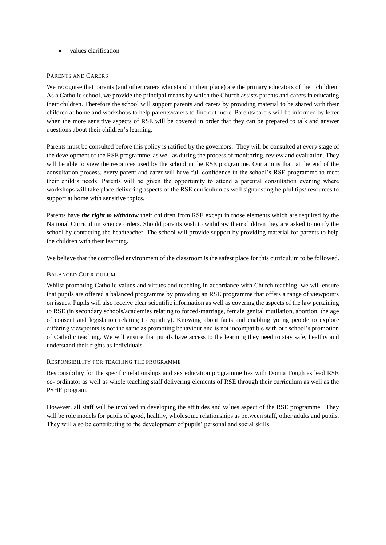values clarification

## PARENTS AND CARERS

We recognise that parents (and other carers who stand in their place) are the primary educators of their children. As a Catholic school, we provide the principal means by which the Church assists parents and carers in educating their children. Therefore the school will support parents and carers by providing material to be shared with their children at home and workshops to help parents/carers to find out more. Parents/carers will be informed by letter when the more sensitive aspects of RSE will be covered in order that they can be prepared to talk and answer questions about their children's learning.

Parents must be consulted before this policy is ratified by the governors. They will be consulted at every stage of the development of the RSE programme, as well as during the process of monitoring, review and evaluation. They will be able to view the resources used by the school in the RSE programme. Our aim is that, at the end of the consultation process, every parent and carer will have full confidence in the school's RSE programme to meet their child's needs. Parents will be given the opportunity to attend a parental consultation evening where workshops will take place delivering aspects of the RSE curriculum as well signposting helpful tips/ resources to support at home with sensitive topics.

Parents have *the right to withdraw* their children from RSE except in those elements which are required by the National Curriculum science orders. Should parents wish to withdraw their children they are asked to notify the school by contacting the headteacher. The school will provide support by providing material for parents to help the children with their learning.

We believe that the controlled environment of the classroom is the safest place for this curriculum to be followed.

# BALANCED CURRICULUM

Whilst promoting Catholic values and virtues and teaching in accordance with Church teaching, we will ensure that pupils are offered a balanced programme by providing an RSE programme that offers a range of viewpoints on issues. Pupils will also receive clear scientific information as well as covering the aspects of the law pertaining to RSE (in secondary schools/academies relating to forced-marriage, female genital mutilation, abortion, the age of consent and legislation relating to equality). Knowing about facts and enabling young people to explore differing viewpoints is not the same as promoting behaviour and is not incompatible with our school's promotion of Catholic teaching. We will ensure that pupils have access to the learning they need to stay safe, healthy and understand their rights as individuals.

## RESPONSIBILITY FOR TEACHING THE PROGRAMME

Responsibility for the specific relationships and sex education programme lies with Donna Tough as lead RSE co- ordinator as well as whole teaching staff delivering elements of RSE through their curriculum as well as the PSHE program.

However, all staff will be involved in developing the attitudes and values aspect of the RSE programme. They will be role models for pupils of good, healthy, wholesome relationships as between staff, other adults and pupils. They will also be contributing to the development of pupils' personal and social skills.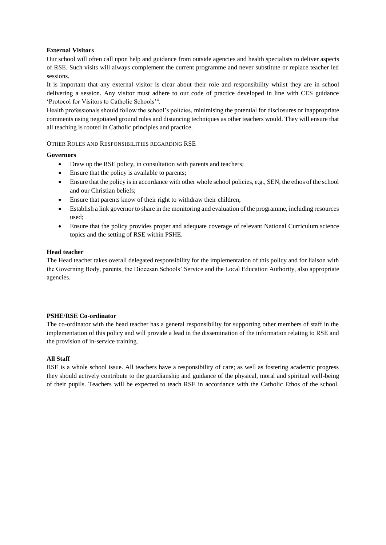# **External Visitors**

Our school will often call upon help and guidance from outside agencies and health specialists to deliver aspects of RSE. Such visits will always complement the current programme and never substitute or replace teacher led sessions.

It is important that any external visitor is clear about their role and responsibility whilst they are in school delivering a session. Any visitor must adhere to our code of practice developed in line with CES guidance 'Protocol for Visitors to Catholic Schools'<sup>4</sup> .

Health professionals should follow the school's policies, minimising the potential for disclosures or inappropriate comments using negotiated ground rules and distancing techniques as other teachers would. They will ensure that all teaching is rooted in Catholic principles and practice.

# OTHER ROLES AND RESPONSIBILITIES REGARDING RSE

## **Governors**

- Draw up the RSE policy, in consultation with parents and teachers;
- Ensure that the policy is available to parents;
- Ensure that the policy is in accordance with other whole school policies, e.g., SEN, the ethos of the school and our Christian beliefs;
- Ensure that parents know of their right to withdraw their children;
- Establish a link governor to share in the monitoring and evaluation of the programme, including resources used;
- Ensure that the policy provides proper and adequate coverage of relevant National Curriculum science topics and the setting of RSE within PSHE.

## **Head teacher**

The Head teacher takes overall delegated responsibility for the implementation of this policy and for liaison with the Governing Body, parents, the Diocesan Schools' Service and the Local Education Authority, also appropriate agencies.

## **PSHE/RSE Co-ordinator**

The co-ordinator with the head teacher has a general responsibility for supporting other members of staff in the implementation of this policy and will provide a lead in the dissemination of the information relating to RSE and the provision of in-service training.

# **All Staff**

<u>.</u>

RSE is a whole school issue. All teachers have a responsibility of care; as well as fostering academic progress they should actively contribute to the guardianship and guidance of the physical, moral and spiritual well-being of their pupils. Teachers will be expected to teach RSE in accordance with the Catholic Ethos of the school.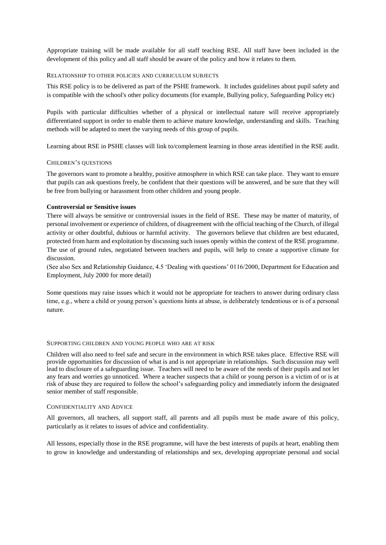Appropriate training will be made available for all staff teaching RSE. All staff have been included in the development of this policy and all staff should be aware of the policy and how it relates to them.

#### RELATIONSHIP TO OTHER POLICIES AND CURRICULUM SUBJECTS

This RSE policy is to be delivered as part of the PSHE framework. It includes guidelines about pupil safety and is compatible with the school's other policy documents (for example, Bullying policy, Safeguarding Policy etc)

Pupils with particular difficulties whether of a physical or intellectual nature will receive appropriately differentiated support in order to enable them to achieve mature knowledge, understanding and skills. Teaching methods will be adapted to meet the varying needs of this group of pupils.

Learning about RSE in PSHE classes will link to/complement learning in those areas identified in the RSE audit.

#### CHILDREN'S QUESTIONS

The governors want to promote a healthy, positive atmosphere in which RSE can take place. They want to ensure that pupils can ask questions freely, be confident that their questions will be answered, and be sure that they will be free from bullying or harassment from other children and young people.

#### **Controversial or Sensitive issues**

There will always be sensitive or controversial issues in the field of RSE. These may be matter of maturity, of personal involvement or experience of children, of disagreement with the official teaching of the Church, of illegal activity or other doubtful, dubious or harmful activity. The governors believe that children are best educated, protected from harm and exploitation by discussing such issues openly within the context of the RSE programme. The use of ground rules, negotiated between teachers and pupils, will help to create a supportive climate for discussion.

(See also Sex and Relationship Guidance, 4.5 'Dealing with questions' 0116/2000, Department for Education and Employment, July 2000 for more detail)

Some questions may raise issues which it would not be appropriate for teachers to answer during ordinary class time, e.g., where a child or young person's questions hints at abuse, is deliberately tendentious or is of a personal nature.

### SUPPORTING CHILDREN AND YOUNG PEOPLE WHO ARE AT RISK

Children will also need to feel safe and secure in the environment in which RSE takes place. Effective RSE will provide opportunities for discussion of what is and is not appropriate in relationships. Such discussion may well lead to disclosure of a safeguarding issue. Teachers will need to be aware of the needs of their pupils and not let any fears and worries go unnoticed. Where a teacher suspects that a child or young person is a victim of or is at risk of abuse they are required to follow the school's safeguarding policy and immediately inform the designated senior member of staff responsible.

#### CONFIDENTIALITY AND ADVICE

All governors, all teachers, all support staff, all parents and all pupils must be made aware of this policy, particularly as it relates to issues of advice and confidentiality.

All lessons, especially those in the RSE programme, will have the best interests of pupils at heart, enabling them to grow in knowledge and understanding of relationships and sex, developing appropriate personal and social